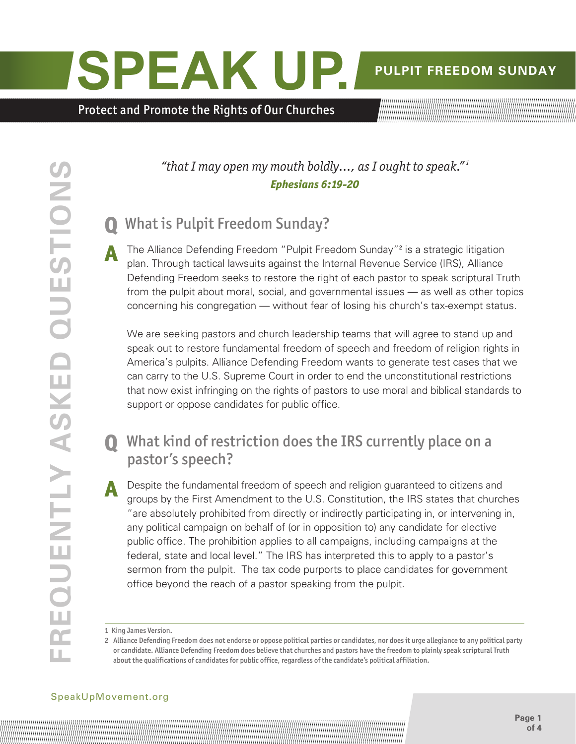Protect and Promote the Rights of Our Churches

#### **PULPIT FREEDOM SUNDAY**

*"that I may open my mouth boldly..., as I ought to speak." 1 Ephesians 6:19-20*

### **Q** What is Pulpit Freedom Sunday?

**A** The Alliance Defending Freedom "Pulpit Freedom Sunday"<sup>2</sup> is a strategic litigation<br>
plan Through tactical lawsuits against the Internal Revenue Service (IRS) Alliance plan. Through tactical lawsuits against the Internal Revenue Service (IRS), Alliance Defending Freedom seeks to restore the right of each pastor to speak scriptural Truth from the pulpit about moral, social, and governmental issues — as well as other topics concerning his congregation — without fear of losing his church's tax-exempt status.

We are seeking pastors and church leadership teams that will agree to stand up and speak out to restore fundamental freedom of speech and freedom of religion rights in America's pulpits. Alliance Defending Freedom wants to generate test cases that we can carry to the U.S. Supreme Court in order to end the unconstitutional restrictions that now exist infringing on the rights of pastors to use moral and biblical standards to support or oppose candidates for public office.

#### **Q** What kind of restriction does the IRS currently place on a pastor's speech?

**A** Despite the fundamental freedom of speech and religion guaranteed to citizens and groups by the First Amendment to the U.S. Constitution, the IRS states that churches "are absolutely prohibited from directly or indirectly participating in, or intervening in, any political campaign on behalf of (or in opposition to) any candidate for elective public office. The prohibition applies to all campaigns, including campaigns at the federal, state and local level." The IRS has interpreted this to apply to a pastor's sermon from the pulpit. The tax code purports to place candidates for government office beyond the reach of a pastor speaking from the pulpit.

<sup>1</sup> King James Version.

<sup>2</sup> Alliance Defending Freedom does not endorse or oppose political parties or candidates, nor does it urge allegiance to any political party or candidate. Alliance Defending Freedom does believe that churches and pastors have the freedom to plainly speak scriptural Truth about the qualifications of candidates for public office, regardless of the candidate's political affiliation.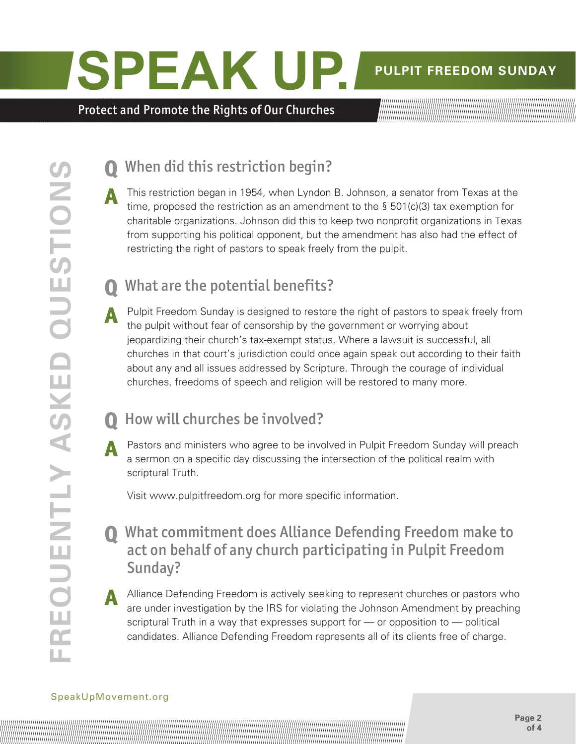#### **PULPIT FREEDOM SUNDAY**

Protect and Promote the Rights of Our Churches

# When did this restriction begin?

**A** This restriction began in 1954, when Lyndon B. Johnson, a senator from Texas at the time, proposed the restriction as an amendment to the § 501(c)(3) tax exemption for charitable organizations. Johnson did this to keep two nonprofit organizations in Texas from supporting his political opponent, but the amendment has also had the effect of restricting the right of pastors to speak freely from the pulpit.

### **What are the potential benefits?**

**A** Pulpit Freedom Sunday is designed to restore the right of pastors to speak freely from the pulpit without fear of censorship by the government or worrying about jeopardizing their church's tax-exempt status. Where a lawsuit is successful, all churches in that court's jurisdiction could once again speak out according to their faith about any and all issues addressed by Scripture. Through the courage of individual churches, freedoms of speech and religion will be restored to many more.

### How will churches be involved?

**A** Pastors and ministers who agree to be involved in Pulpit Freedom Sunday will preach a sermon on a specific day discussing the intersection of the political realm with scriptural Truth.

Visit www.pulpitfreedom.org for more specific information.

#### **Q** What commitment does Alliance Defending Freedom make to act on behalf of any church participating in Pulpit Freedom Sunday?

**Alliance Defending Freedom is actively seeking to represent churches or pastors who** are under investigation by the IRS for violating the Johnson Amendment by preaching scriptural Truth in a way that expresses support for — or opposition to — political candidates. Alliance Defending Freedom represents all of its clients free of charge.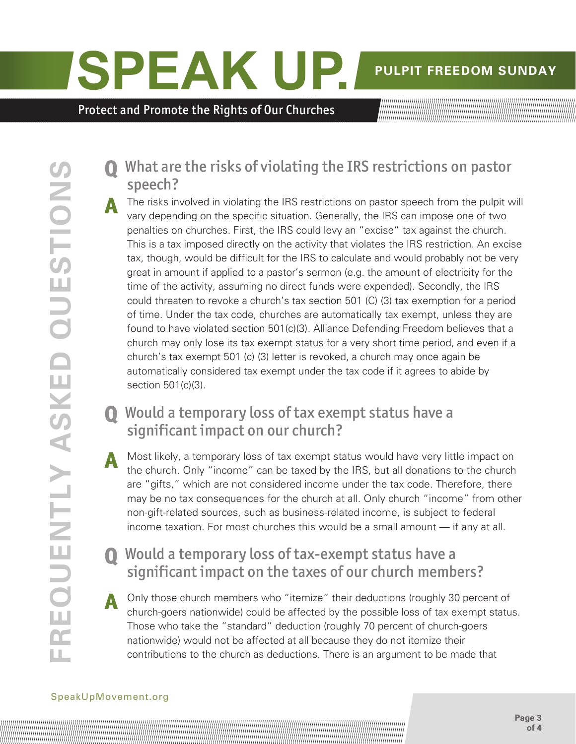Protect and Promote the Rights of Our Churches

#### **Q** What are the risks of violating the IRS restrictions on pastor speech?

**A** The risks involved in violating the IRS restrictions on pastor speech from the pulpit will vary depending on the specific situation. Generally, the IRS can impose one of two penalties on churches. First, the IRS could levy an "excise" tax against the church. This is a tax imposed directly on the activity that violates the IRS restriction. An excise tax, though, would be difficult for the IRS to calculate and would probably not be very great in amount if applied to a pastor's sermon (e.g. the amount of electricity for the time of the activity, assuming no direct funds were expended). Secondly, the IRS could threaten to revoke a church's tax section 501 (C) (3) tax exemption for a period of time. Under the tax code, churches are automatically tax exempt, unless they are found to have violated section 501(c)(3). Alliance Defending Freedom believes that a church may only lose its tax exempt status for a very short time period, and even if a church's tax exempt 501 (c) (3) letter is revoked, a church may once again be automatically considered tax exempt under the tax code if it agrees to abide by section 501(c)(3).

#### **Q** Would a temporary loss of tax exempt status have a significant impact on our church?

**A** Most likely, a temporary loss of tax exempt status would have very little impact on the church. Only "income" can be taxed by the IRS, but all donations to the church are "gifts," which are not considered income under the tax code. Therefore, there may be no tax consequences for the church at all. Only church "income" from other non-gift-related sources, such as business-related income, is subject to federal income taxation. For most churches this would be a small amount — if any at all.

#### **Q** Would a temporary loss of tax-exempt status have a significant impact on the taxes of our church members?

**A** Only those church members who "itemize" their deductions (roughly 30 percent of church-goers nationwide) could be affected by the possible loss of tax exempt status. Those who take the "standard" deduction (roughly 70 percent of church-goers nationwide) would not be affected at all because they do not itemize their contributions to the church as deductions. There is an argument to be made that